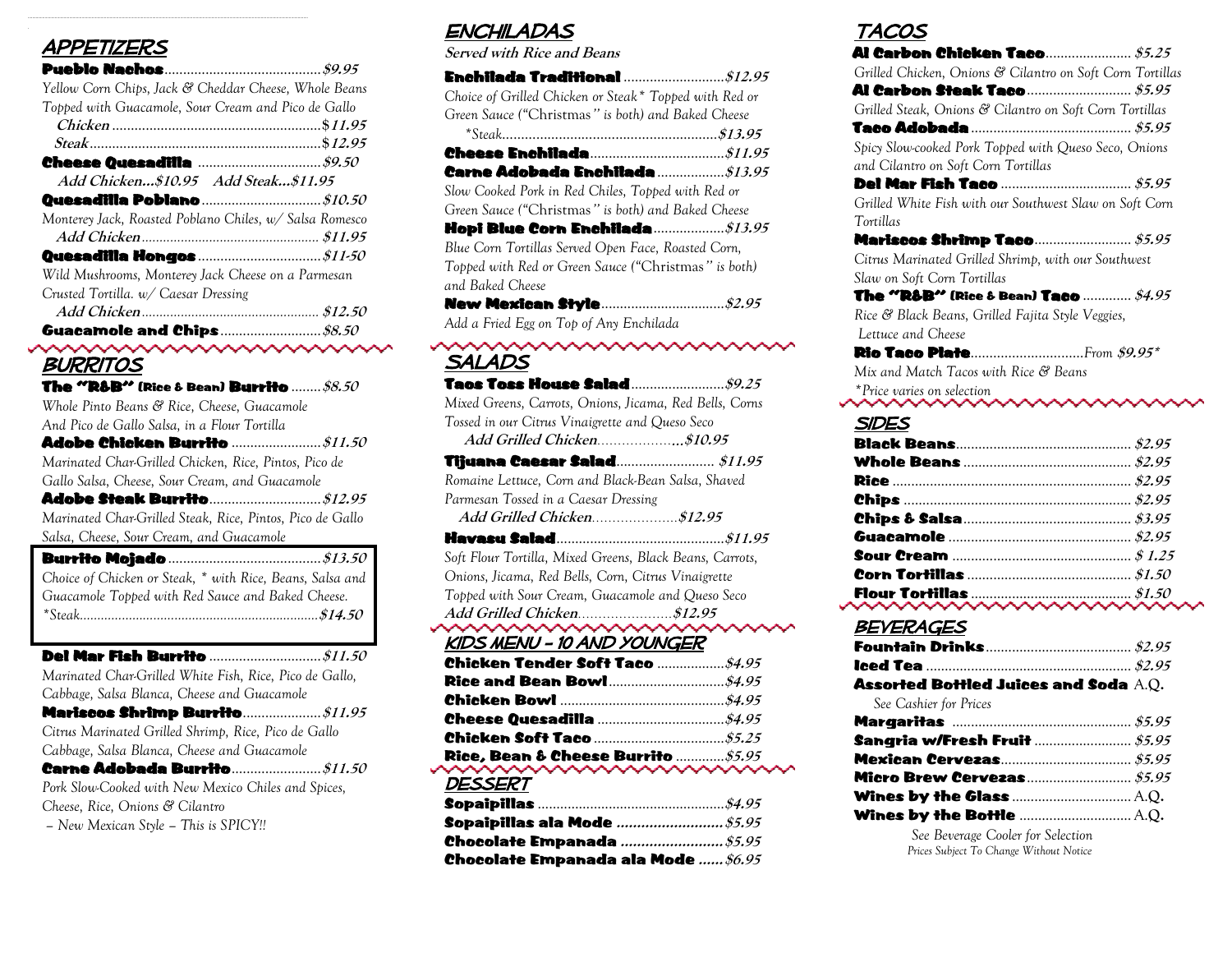#### **APPETIZERS**

| Yellow Corn Chips, Jack & Cheddar Cheese, Whole Beans   |  |  |
|---------------------------------------------------------|--|--|
| Topped with Guacamole, Sour Cream and Pico de Gallo     |  |  |
|                                                         |  |  |
|                                                         |  |  |
|                                                         |  |  |
| Add Chicken\$10.95 Add Steak\$11.95                     |  |  |
|                                                         |  |  |
| Monterey Jack, Roasted Poblano Chiles, w/ Salsa Romesco |  |  |
|                                                         |  |  |
|                                                         |  |  |
| Wild Mushrooms, Monterey Jack Cheese on a Parmesan      |  |  |
| Crusted Tortilla. w/ Caesar Dressing                    |  |  |
|                                                         |  |  |
|                                                         |  |  |

# **BURRITOS**

| The "R&B" (Rice & Bean) Burrito …… $\$8.50$                                                            |
|--------------------------------------------------------------------------------------------------------|
| Whole Pinto Beans & Rice, Cheese, Guacamole                                                            |
| And Pico de Gallo Salsa, in a Flour Tortilla                                                           |
|                                                                                                        |
| Marinated Char-Grilled Chicken, Rice, Pintos, Pico de                                                  |
| Gallo Salsa, Cheese, Sour Cream, and Guacamole                                                         |
|                                                                                                        |
| Marinated Char-Grilled Steak, Rice, Pintos, Pico de Gallo                                              |
| Salsa, Cheese, Sour Cream, and Guacamole                                                               |
|                                                                                                        |
| Choice of Chicken or Steak, * with Rice, Beans, Salsa and                                              |
| Guacamole Topped with Red Sauce and Baked Cheese.                                                      |
|                                                                                                        |
|                                                                                                        |
|                                                                                                        |
|                                                                                                        |
|                                                                                                        |
| Marinated Char-Grilled White Fish, Rice, Pico de Gallo,<br>Cabbage, Salsa Blanca, Cheese and Guacamole |
|                                                                                                        |
| Citrus Marinated Grilled Shrimp, Rice, Pico de Gallo                                                   |
| Cabbage, Salsa Blanca, Cheese and Guacamole                                                            |
|                                                                                                        |

*Cheese, Rice, Onions & Cilantro*

*– New Mexican Style – This is SPICY!!*

## **ENCHILADAS**

| <b>Served with Rice and Beans</b>                                                                                                        |
|------------------------------------------------------------------------------------------------------------------------------------------|
|                                                                                                                                          |
| Choice of Grilled Chicken or Steak* Topped with Red or<br>Green Sauce ("Christmas" is both) and Baked Cheese                             |
|                                                                                                                                          |
| Carne Adobada Enchilada \$13.95                                                                                                          |
| Slow Cooked Pork in Red Chiles, Topped with Red or                                                                                       |
| Green Sauce ("Christmas" is both) and Baked Cheese                                                                                       |
|                                                                                                                                          |
| Blue Corn Tortillas Served Open Face, Roasted Corn,<br>Topped with Red or Green Sauce ("Christmas" is both)<br>and Baked Cheese          |
|                                                                                                                                          |
| Add a Fried Egg on Top of Any Enchilada                                                                                                  |
| ∾<br>SALADS                                                                                                                              |
| Mixed Greens, Carrots, Onions, Jicama, Red Bells, Corns<br>Tossed in our Citrus Vinaigrette and Queso Seco<br>Add Grilled Chicken\$10.95 |
|                                                                                                                                          |
| Romaine Lettuce, Corn and Black-Bean Salsa, Shaved                                                                                       |
| Parmesan Tossed in a Caesar Dressing                                                                                                     |
| Add Grilled Chicken\$12.95                                                                                                               |
|                                                                                                                                          |
| Soft Flour Tortilla, Mixed Greens, Black Beans, Carrots,                                                                                 |
| Onions, Jicama, Red Bells, Corn, Citrus Vinaigrette                                                                                      |
| Topped with Sour Cream, Guacamole and Queso Seco                                                                                         |
|                                                                                                                                          |
| KIDS MENU - 10 AND YOUNGER                                                                                                               |
|                                                                                                                                          |
|                                                                                                                                          |
|                                                                                                                                          |
|                                                                                                                                          |
|                                                                                                                                          |
|                                                                                                                                          |
| <b>DESSERT</b>                                                                                                                           |
|                                                                                                                                          |

Chocolate Empanada ala Mode **......\$6.95**

## Tacos

| $\sim$ $\sim$ $\sim$                                                                         |  |
|----------------------------------------------------------------------------------------------|--|
| Grilled Chicken, Onions & Cilantro on Soft Corn Tortillas                                    |  |
|                                                                                              |  |
| Grilled Steak, Onions & Cilantro on Soft Corn Tortillas                                      |  |
|                                                                                              |  |
| Spicy Slow-cooked Pork Topped with Queso Seco, Onions<br>and Cilantro on Soft Corn Tortillas |  |
|                                                                                              |  |
| Grilled White Fish with our Southwest Slaw on Soft Corn<br>Tortillas                         |  |
|                                                                                              |  |
| Citrus Marinated Grilled Shrimp, with our Southwest                                          |  |
| Slaw on Soft Corn Tortillas                                                                  |  |
| The "R&B" (Rice & Bean) Taco ………… $$4.95$                                                    |  |
| Rice & Black Beans, Grilled Fajita Style Veggies,<br>Lettuce and Cheese                      |  |
| <b>Rio Taco Plate</b> From \$9.95*                                                           |  |
| Mix and Match Tacos with Rice & Beans                                                        |  |
| *Price varies on selection                                                                   |  |
| <b>SIDES</b>                                                                                 |  |
|                                                                                              |  |
|                                                                                              |  |
|                                                                                              |  |

| . |
|---|
|   |

### **BEVERAGES**

| Assorted Bottled Juices and Soda $\rm A.Q.$ |  |
|---------------------------------------------|--|
| See Cashier for Prices                      |  |
|                                             |  |
|                                             |  |
|                                             |  |
|                                             |  |
|                                             |  |
|                                             |  |
| See Beverage Cooler for Selection           |  |
| Prices Subject To Change Without Notice     |  |